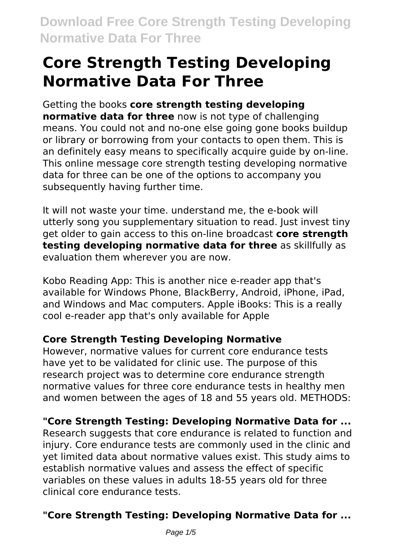# **Core Strength Testing Developing Normative Data For Three**

#### Getting the books **core strength testing developing**

**normative data for three** now is not type of challenging means. You could not and no-one else going gone books buildup or library or borrowing from your contacts to open them. This is an definitely easy means to specifically acquire guide by on-line. This online message core strength testing developing normative data for three can be one of the options to accompany you subsequently having further time.

It will not waste your time. understand me, the e-book will utterly song you supplementary situation to read. Just invest tiny get older to gain access to this on-line broadcast **core strength testing developing normative data for three** as skillfully as evaluation them wherever you are now.

Kobo Reading App: This is another nice e-reader app that's available for Windows Phone, BlackBerry, Android, iPhone, iPad, and Windows and Mac computers. Apple iBooks: This is a really cool e-reader app that's only available for Apple

#### **Core Strength Testing Developing Normative**

However, normative values for current core endurance tests have yet to be validated for clinic use. The purpose of this research project was to determine core endurance strength normative values for three core endurance tests in healthy men and women between the ages of 18 and 55 years old. METHODS:

#### **"Core Strength Testing: Developing Normative Data for ...**

Research suggests that core endurance is related to function and injury. Core endurance tests are commonly used in the clinic and yet limited data about normative values exist. This study aims to establish normative values and assess the effect of specific variables on these values in adults 18-55 years old for three clinical core endurance tests.

### **"Core Strength Testing: Developing Normative Data for ...**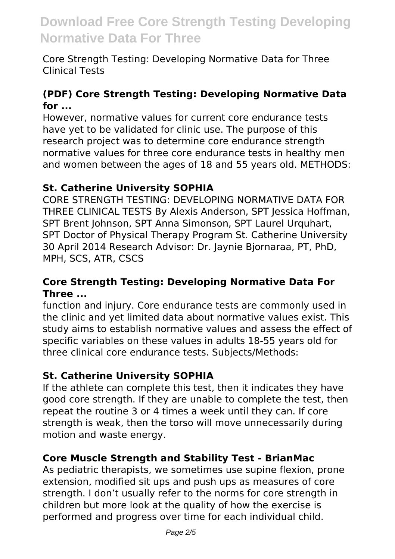Core Strength Testing: Developing Normative Data for Three Clinical Tests

#### **(PDF) Core Strength Testing: Developing Normative Data for ...**

However, normative values for current core endurance tests have yet to be validated for clinic use. The purpose of this research project was to determine core endurance strength normative values for three core endurance tests in healthy men and women between the ages of 18 and 55 years old. METHODS:

#### **St. Catherine University SOPHIA**

CORE STRENGTH TESTING: DEVELOPING NORMATIVE DATA FOR THREE CLINICAL TESTS By Alexis Anderson, SPT Jessica Hoffman, SPT Brent Johnson, SPT Anna Simonson, SPT Laurel Urquhart, SPT Doctor of Physical Therapy Program St. Catherine University 30 April 2014 Research Advisor: Dr. Jaynie Bjornaraa, PT, PhD, MPH, SCS, ATR, CSCS

#### **Core Strength Testing: Developing Normative Data For Three ...**

function and injury. Core endurance tests are commonly used in the clinic and yet limited data about normative values exist. This study aims to establish normative values and assess the effect of specific variables on these values in adults 18-55 years old for three clinical core endurance tests. Subjects/Methods:

#### **St. Catherine University SOPHIA**

If the athlete can complete this test, then it indicates they have good core strength. If they are unable to complete the test, then repeat the routine 3 or 4 times a week until they can. If core strength is weak, then the torso will move unnecessarily during motion and waste energy.

#### **Core Muscle Strength and Stability Test - BrianMac**

As pediatric therapists, we sometimes use supine flexion, prone extension, modified sit ups and push ups as measures of core strength. I don't usually refer to the norms for core strength in children but more look at the quality of how the exercise is performed and progress over time for each individual child.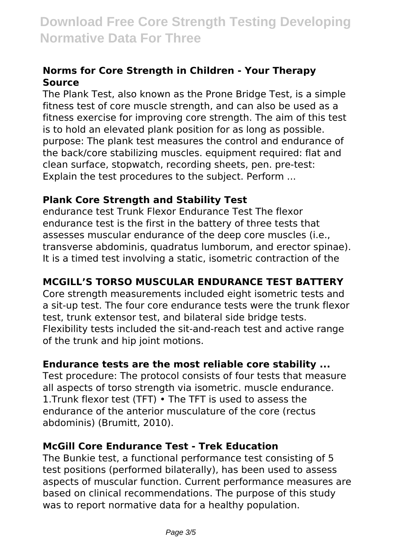#### **Norms for Core Strength in Children - Your Therapy Source**

The Plank Test, also known as the Prone Bridge Test, is a simple fitness test of core muscle strength, and can also be used as a fitness exercise for improving core strength. The aim of this test is to hold an elevated plank position for as long as possible. purpose: The plank test measures the control and endurance of the back/core stabilizing muscles. equipment required: flat and clean surface, stopwatch, recording sheets, pen. pre-test: Explain the test procedures to the subject. Perform ...

#### **Plank Core Strength and Stability Test**

endurance test Trunk Flexor Endurance Test The flexor endurance test is the first in the battery of three tests that assesses muscular endurance of the deep core muscles (i.e., transverse abdominis, quadratus lumborum, and erector spinae). It is a timed test involving a static, isometric contraction of the

#### **MCGILL'S TORSO MUSCULAR ENDURANCE TEST BATTERY**

Core strength measurements included eight isometric tests and a sit-up test. The four core endurance tests were the trunk flexor test, trunk extensor test, and bilateral side bridge tests. Flexibility tests included the sit-and-reach test and active range of the trunk and hip joint motions.

#### **Endurance tests are the most reliable core stability ...**

Test procedure: The protocol consists of four tests that measure all aspects of torso strength via isometric. muscle endurance. 1.Trunk flexor test (TFT) • The TFT is used to assess the endurance of the anterior musculature of the core (rectus abdominis) (Brumitt, 2010).

#### **McGill Core Endurance Test - Trek Education**

The Bunkie test, a functional performance test consisting of 5 test positions (performed bilaterally), has been used to assess aspects of muscular function. Current performance measures are based on clinical recommendations. The purpose of this study was to report normative data for a healthy population.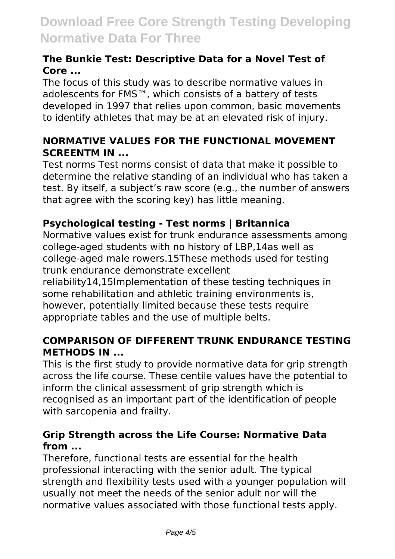#### **The Bunkie Test: Descriptive Data for a Novel Test of Core ...**

The focus of this study was to describe normative values in adolescents for FMS™, which consists of a battery of tests developed in 1997 that relies upon common, basic movements to identify athletes that may be at an elevated risk of injury.

#### **NORMATIVE VALUES FOR THE FUNCTIONAL MOVEMENT SCREENTM IN ...**

Test norms Test norms consist of data that make it possible to determine the relative standing of an individual who has taken a test. By itself, a subject's raw score (e.g., the number of answers that agree with the scoring key) has little meaning.

#### **Psychological testing - Test norms | Britannica**

Normative values exist for trunk endurance assessments among college‐aged students with no history of LBP,14as well as college‐aged male rowers.15These methods used for testing trunk endurance demonstrate excellent

reliability14,15Implementation of these testing techniques in some rehabilitation and athletic training environments is, however, potentially limited because these tests require appropriate tables and the use of multiple belts.

#### **COMPARISON OF DIFFERENT TRUNK ENDURANCE TESTING METHODS IN ...**

This is the first study to provide normative data for grip strength across the life course. These centile values have the potential to inform the clinical assessment of grip strength which is recognised as an important part of the identification of people with sarcopenia and frailty.

#### **Grip Strength across the Life Course: Normative Data from ...**

Therefore, functional tests are essential for the health professional interacting with the senior adult. The typical strength and flexibility tests used with a younger population will usually not meet the needs of the senior adult nor will the normative values associated with those functional tests apply.